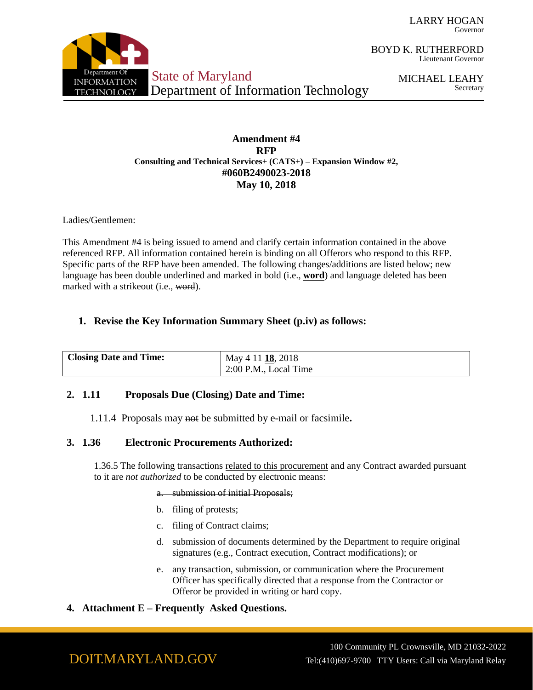LARRY HOGAN Governor



BOYD K. RUTHERFORD Lieutenant Governor

> MICHAEL LEAHY Secretary

### **Amendment #4 RFP Consulting and Technical Services+ (CATS+) – Expansion Window #2, #060B2490023-2018 May 10, 2018**

Ladies/Gentlemen:

This Amendment #4 is being issued to amend and clarify certain information contained in the above referenced RFP. All information contained herein is binding on all Offerors who respond to this RFP. Specific parts of the RFP have been amended. The following changes/additions are listed below; new language has been double underlined and marked in bold (i.e., **word**) and language deleted has been marked with a strikeout (i.e., word).

## **1. Revise the Key Information Summary Sheet (p.iv) as follows:**

| <b>Closing Date and Time:</b> | May 4 11 18, 2018     |
|-------------------------------|-----------------------|
|                               | 2:00 P.M., Local Time |

## **2. 1.11 Proposals Due (Closing) Date and Time:**

1.11.4 Proposals may not be submitted by e-mail or facsimile**.**

## **3. 1.36 Electronic Procurements Authorized:**

1.36.5 The following transactions related to this procurement and any Contract awarded pursuant to it are *not authorized* to be conducted by electronic means:

#### a. submission of initial Proposals;

- b. filing of protests;
- c. filing of Contract claims;
- d. submission of documents determined by the Department to require original signatures (e.g., Contract execution, Contract modifications); or
- e. any transaction, submission, or communication where the Procurement Officer has specifically directed that a response from the Contractor or Offeror be provided in writing or hard copy.
- **4. Attachment E – Frequently Asked Questions.**

100 Community PL Crownsville, MD 21032-2022 Tel:(410)697-9700 TTY Users: Call via Maryland Relay

# DOIT.MARYLAND.GOV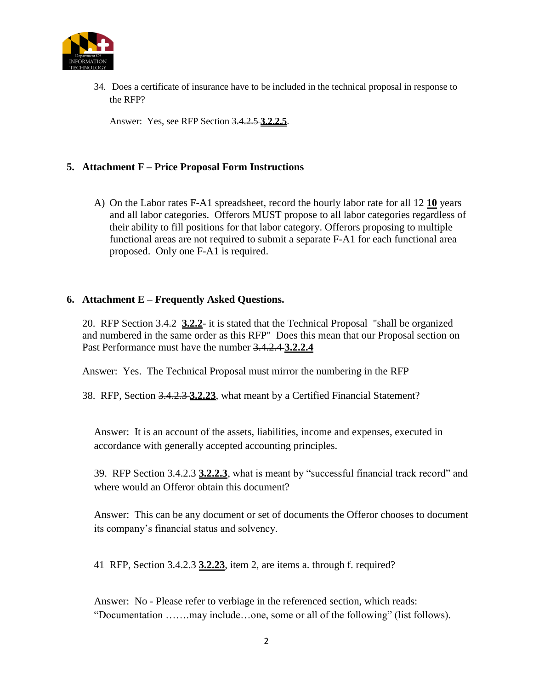

34. Does a certificate of insurance have to be included in the technical proposal in response to the RFP?

Answer: Yes, see RFP Section 3.4.2.5 **3.2.2.5**.

## **5. Attachment F – Price Proposal Form Instructions**

A) On the Labor rates F-A1 spreadsheet, record the hourly labor rate for all 12 **10** years and all labor categories. Offerors MUST propose to all labor categories regardless of their ability to fill positions for that labor category. Offerors proposing to multiple functional areas are not required to submit a separate F-A1 for each functional area proposed. Only one F-A1 is required.

## **6. Attachment E – Frequently Asked Questions.**

20. RFP Section 3.4.2 **3.2.2**- it is stated that the Technical Proposal "shall be organized and numbered in the same order as this RFP" Does this mean that our Proposal section on Past Performance must have the number 3.4.2.4 **3.2.2.4**

Answer: Yes. The Technical Proposal must mirror the numbering in the RFP

38. RFP, Section 3.4.2.3 **3.2.23**, what meant by a Certified Financial Statement?

Answer: It is an account of the assets, liabilities, income and expenses, executed in accordance with generally accepted accounting principles.

39. RFP Section 3.4.2.3 **3.2.2.3**, what is meant by "successful financial track record" and where would an Offeror obtain this document?

Answer: This can be any document or set of documents the Offeror chooses to document its company's financial status and solvency.

41 RFP, Section 3.4.2.3 **3.2.23**, item 2, are items a. through f. required?

Answer: No - Please refer to verbiage in the referenced section, which reads: "Documentation …….may include…one, some or all of the following" (list follows).